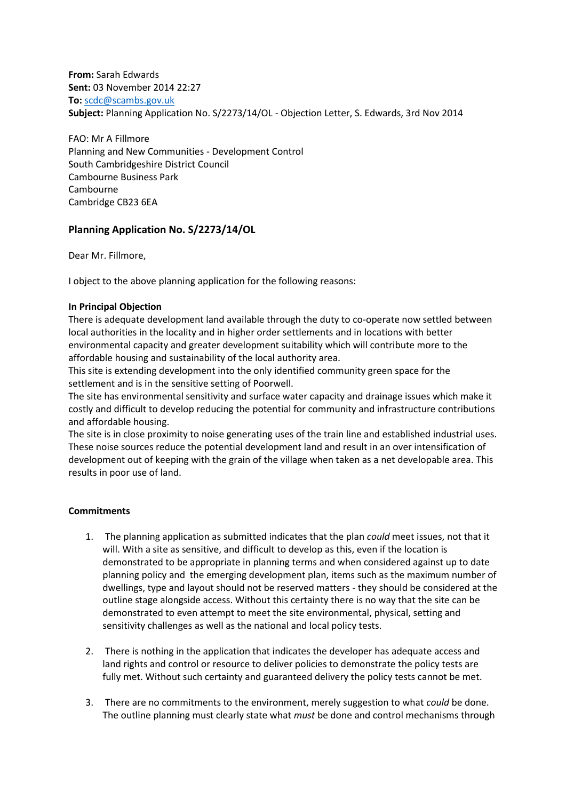**From:** Sarah Edwards **Sent:** 03 November 2014 22:27 **To:** [scdc@scambs.gov.uk](mailto:scdc@scambs.gov.uk) **Subject:** Planning Application No. S/2273/14/OL - Objection Letter, S. Edwards, 3rd Nov 2014

FAO: Mr A Fillmore Planning and New Communities - Development Control South Cambridgeshire District Council Cambourne Business Park Cambourne Cambridge CB23 6EA

# **Planning Application No. S/2273/14/OL**

Dear Mr. Fillmore,

I object to the above planning application for the following reasons:

# **In Principal Objection**

There is adequate development land available through the duty to co-operate now settled between local authorities in the locality and in higher order settlements and in locations with better environmental capacity and greater development suitability which will contribute more to the affordable housing and sustainability of the local authority area.

This site is extending development into the only identified community green space for the settlement and is in the sensitive setting of Poorwell.

The site has environmental sensitivity and surface water capacity and drainage issues which make it costly and difficult to develop reducing the potential for community and infrastructure contributions and affordable housing.

The site is in close proximity to noise generating uses of the train line and established industrial uses. These noise sources reduce the potential development land and result in an over intensification of development out of keeping with the grain of the village when taken as a net developable area. This results in poor use of land.

# **Commitments**

- 1. The planning application as submitted indicates that the plan *could* meet issues, not that it will. With a site as sensitive, and difficult to develop as this, even if the location is demonstrated to be appropriate in planning terms and when considered against up to date planning policy and the emerging development plan, items such as the maximum number of dwellings, type and layout should not be reserved matters - they should be considered at the outline stage alongside access. Without this certainty there is no way that the site can be demonstrated to even attempt to meet the site environmental, physical, setting and sensitivity challenges as well as the national and local policy tests.
- 2. There is nothing in the application that indicates the developer has adequate access and land rights and control or resource to deliver policies to demonstrate the policy tests are fully met. Without such certainty and guaranteed delivery the policy tests cannot be met.
- 3. There are no commitments to the environment, merely suggestion to what *could* be done. The outline planning must clearly state what *must* be done and control mechanisms through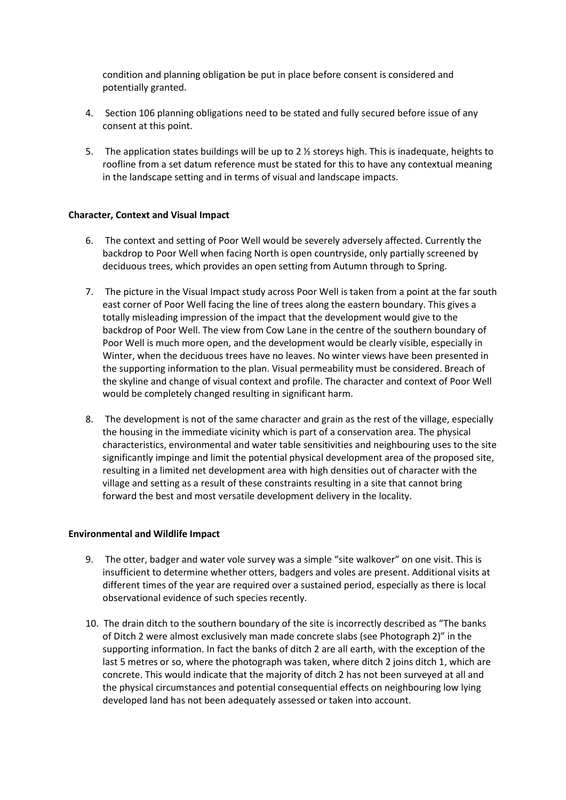condition and planning obligation be put in place before consent is considered and potentially granted.

- 4. Section 106 planning obligations need to be stated and fully secured before issue of any consent at this point.
- 5. The application states buildings will be up to 2 ½ storeys high. This is inadequate, heights to roofline from a set datum reference must be stated for this to have any contextual meaning in the landscape setting and in terms of visual and landscape impacts.

# **Character, Context and Visual Impact**

- 6. The context and setting of Poor Well would be severely adversely affected. Currently the backdrop to Poor Well when facing North is open countryside, only partially screened by deciduous trees, which provides an open setting from Autumn through to Spring.
- 7. The picture in the Visual Impact study across Poor Well is taken from a point at the far south east corner of Poor Well facing the line of trees along the eastern boundary. This gives a totally misleading impression of the impact that the development would give to the backdrop of Poor Well. The view from Cow Lane in the centre of the southern boundary of Poor Well is much more open, and the development would be clearly visible, especially in Winter, when the deciduous trees have no leaves. No winter views have been presented in the supporting information to the plan. Visual permeability must be considered. Breach of the skyline and change of visual context and profile. The character and context of Poor Well would be completely changed resulting in significant harm.
- 8. The development is not of the same character and grain as the rest of the village, especially the housing in the immediate vicinity which is part of a conservation area. The physical characteristics, environmental and water table sensitivities and neighbouring uses to the site significantly impinge and limit the potential physical development area of the proposed site, resulting in a limited net development area with high densities out of character with the village and setting as a result of these constraints resulting in a site that cannot bring forward the best and most versatile development delivery in the locality.

# **Environmental and Wildlife Impact**

- 9. The otter, badger and water vole survey was a simple "site walkover" on one visit. This is insufficient to determine whether otters, badgers and voles are present. Additional visits at different times of the year are required over a sustained period, especially as there is local observational evidence of such species recently.
- 10. The drain ditch to the southern boundary of the site is incorrectly described as "The banks of Ditch 2 were almost exclusively man made concrete slabs (see Photograph 2)" in the supporting information. In fact the banks of ditch 2 are all earth, with the exception of the last 5 metres or so, where the photograph was taken, where ditch 2 joins ditch 1, which are concrete. This would indicate that the majority of ditch 2 has not been surveyed at all and the physical circumstances and potential consequential effects on neighbouring low lying developed land has not been adequately assessed or taken into account.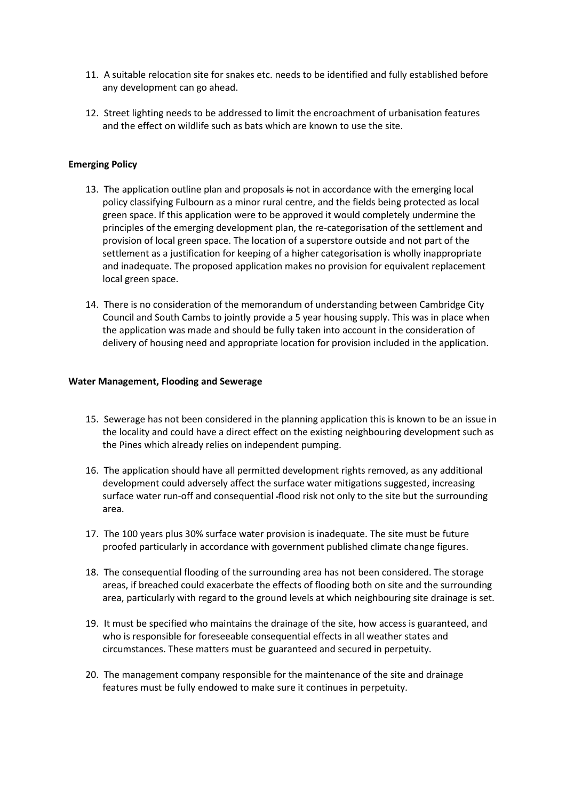- 11. A suitable relocation site for snakes etc. needs to be identified and fully established before any development can go ahead.
- 12. Street lighting needs to be addressed to limit the encroachment of urbanisation features and the effect on wildlife such as bats which are known to use the site.

# **Emerging Policy**

- 13. The application outline plan and proposals is not in accordance with the emerging local policy classifying Fulbourn as a minor rural centre, and the fields being protected as local green space. If this application were to be approved it would completely undermine the principles of the emerging development plan, the re-categorisation of the settlement and provision of local green space. The location of a superstore outside and not part of the settlement as a justification for keeping of a higher categorisation is wholly inappropriate and inadequate. The proposed application makes no provision for equivalent replacement local green space.
- 14. There is no consideration of the memorandum of understanding between Cambridge City Council and South Cambs to jointly provide a 5 year housing supply. This was in place when the application was made and should be fully taken into account in the consideration of delivery of housing need and appropriate location for provision included in the application.

#### **Water Management, Flooding and Sewerage**

- 15. Sewerage has not been considered in the planning application this is known to be an issue in the locality and could have a direct effect on the existing neighbouring development such as the Pines which already relies on independent pumping.
- 16. The application should have all permitted development rights removed, as any additional development could adversely affect the surface water mitigations suggested, increasing surface water run-off and consequential -flood risk not only to the site but the surrounding area.
- 17. The 100 years plus 30% surface water provision is inadequate. The site must be future proofed particularly in accordance with government published climate change figures.
- 18. The consequential flooding of the surrounding area has not been considered. The storage areas, if breached could exacerbate the effects of flooding both on site and the surrounding area, particularly with regard to the ground levels at which neighbouring site drainage is set.
- 19. It must be specified who maintains the drainage of the site, how access is guaranteed, and who is responsible for foreseeable consequential effects in all weather states and circumstances. These matters must be guaranteed and secured in perpetuity.
- 20. The management company responsible for the maintenance of the site and drainage features must be fully endowed to make sure it continues in perpetuity.